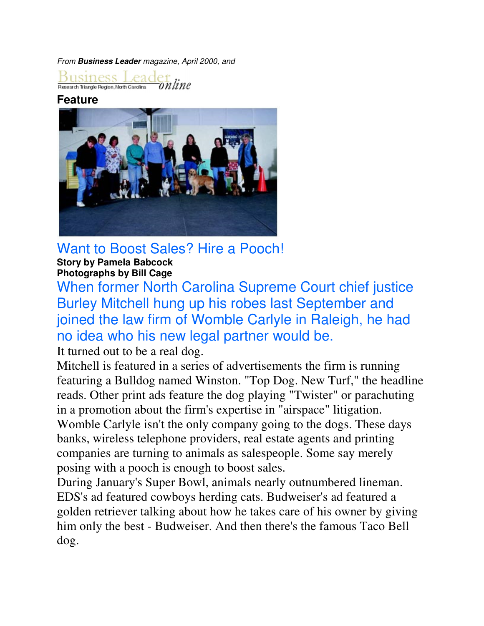From **Business Leader** magazine, April 2000, and

 $\underbrace{\text{Bussiness} \text{Leader} }_{\text{Research Tiangle Region}, \text{Next of } \text{Card} \text{er} } \textcolor{red}{\text{On}}$ online

## **Feature**



Want to Boost Sales? Hire a Pooch! **Story by Pamela Babcock Photographs by Bill Cage**

When former North Carolina Supreme Court chief justice Burley Mitchell hung up his robes last September and joined the law firm of Womble Carlyle in Raleigh, he had no idea who his new legal partner would be.

It turned out to be a real dog.

Mitchell is featured in a series of advertisements the firm is running featuring a Bulldog named Winston. "Top Dog. New Turf," the headline reads. Other print ads feature the dog playing "Twister" or parachuting in a promotion about the firm's expertise in "airspace" litigation. Womble Carlyle isn't the only company going to the dogs. These days banks, wireless telephone providers, real estate agents and printing companies are turning to animals as salespeople. Some say merely posing with a pooch is enough to boost sales.

During January's Super Bowl, animals nearly outnumbered lineman. EDS's ad featured cowboys herding cats. Budweiser's ad featured a golden retriever talking about how he takes care of his owner by giving him only the best - Budweiser. And then there's the famous Taco Bell dog.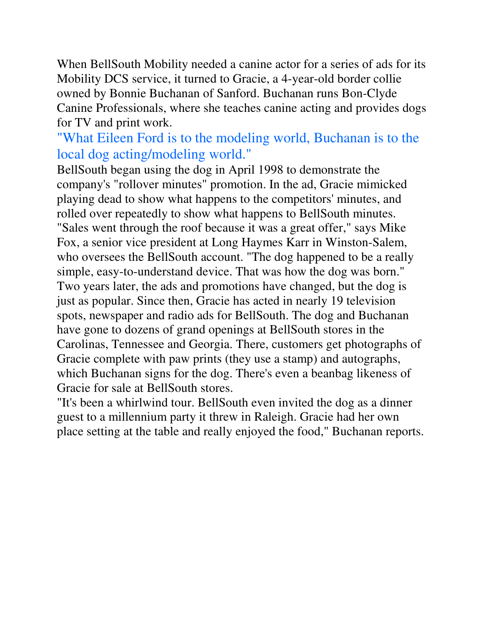When BellSouth Mobility needed a canine actor for a series of ads for its Mobility DCS service, it turned to Gracie, a 4-year-old border collie owned by Bonnie Buchanan of Sanford. Buchanan runs Bon-Clyde Canine Professionals, where she teaches canine acting and provides dogs for TV and print work.

## "What Eileen Ford is to the modeling world, Buchanan is to the local dog acting/modeling world."

BellSouth began using the dog in April 1998 to demonstrate the company's "rollover minutes" promotion. In the ad, Gracie mimicked playing dead to show what happens to the competitors' minutes, and rolled over repeatedly to show what happens to BellSouth minutes. "Sales went through the roof because it was a great offer," says Mike Fox, a senior vice president at Long Haymes Karr in Winston-Salem, who oversees the BellSouth account. "The dog happened to be a really simple, easy-to-understand device. That was how the dog was born." Two years later, the ads and promotions have changed, but the dog is just as popular. Since then, Gracie has acted in nearly 19 television spots, newspaper and radio ads for BellSouth. The dog and Buchanan have gone to dozens of grand openings at BellSouth stores in the Carolinas, Tennessee and Georgia. There, customers get photographs of Gracie complete with paw prints (they use a stamp) and autographs, which Buchanan signs for the dog. There's even a beanbag likeness of Gracie for sale at BellSouth stores.

"It's been a whirlwind tour. BellSouth even invited the dog as a dinner guest to a millennium party it threw in Raleigh. Gracie had her own place setting at the table and really enjoyed the food," Buchanan reports.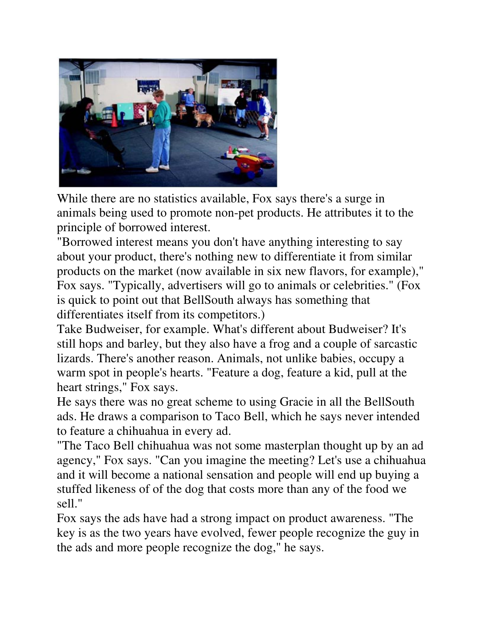

While there are no statistics available, Fox says there's a surge in animals being used to promote non-pet products. He attributes it to the principle of borrowed interest.

"Borrowed interest means you don't have anything interesting to say about your product, there's nothing new to differentiate it from similar products on the market (now available in six new flavors, for example)," Fox says. "Typically, advertisers will go to animals or celebrities." (Fox is quick to point out that BellSouth always has something that differentiates itself from its competitors.)

Take Budweiser, for example. What's different about Budweiser? It's still hops and barley, but they also have a frog and a couple of sarcastic lizards. There's another reason. Animals, not unlike babies, occupy a warm spot in people's hearts. "Feature a dog, feature a kid, pull at the heart strings," Fox says.

He says there was no great scheme to using Gracie in all the BellSouth ads. He draws a comparison to Taco Bell, which he says never intended to feature a chihuahua in every ad.

"The Taco Bell chihuahua was not some masterplan thought up by an ad agency," Fox says. "Can you imagine the meeting? Let's use a chihuahua and it will become a national sensation and people will end up buying a stuffed likeness of of the dog that costs more than any of the food we sell."

Fox says the ads have had a strong impact on product awareness. "The key is as the two years have evolved, fewer people recognize the guy in the ads and more people recognize the dog," he says.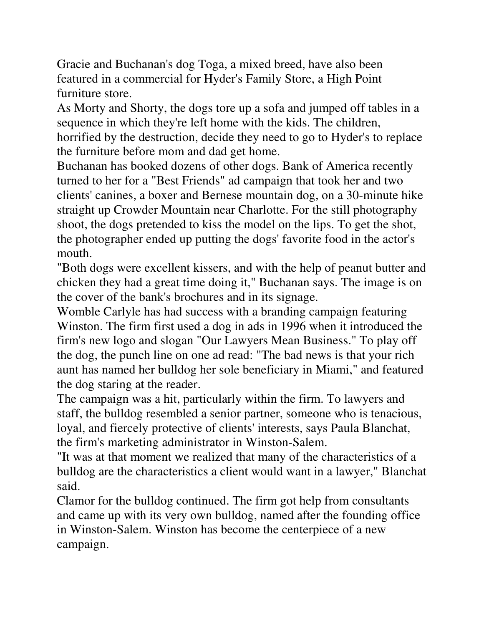Gracie and Buchanan's dog Toga, a mixed breed, have also been featured in a commercial for Hyder's Family Store, a High Point furniture store.

As Morty and Shorty, the dogs tore up a sofa and jumped off tables in a sequence in which they're left home with the kids. The children, horrified by the destruction, decide they need to go to Hyder's to replace the furniture before mom and dad get home.

Buchanan has booked dozens of other dogs. Bank of America recently turned to her for a "Best Friends" ad campaign that took her and two clients' canines, a boxer and Bernese mountain dog, on a 30-minute hike straight up Crowder Mountain near Charlotte. For the still photography shoot, the dogs pretended to kiss the model on the lips. To get the shot, the photographer ended up putting the dogs' favorite food in the actor's mouth.

"Both dogs were excellent kissers, and with the help of peanut butter and chicken they had a great time doing it," Buchanan says. The image is on the cover of the bank's brochures and in its signage.

Womble Carlyle has had success with a branding campaign featuring Winston. The firm first used a dog in ads in 1996 when it introduced the firm's new logo and slogan "Our Lawyers Mean Business." To play off the dog, the punch line on one ad read: "The bad news is that your rich aunt has named her bulldog her sole beneficiary in Miami," and featured the dog staring at the reader.

The campaign was a hit, particularly within the firm. To lawyers and staff, the bulldog resembled a senior partner, someone who is tenacious, loyal, and fiercely protective of clients' interests, says Paula Blanchat, the firm's marketing administrator in Winston-Salem.

"It was at that moment we realized that many of the characteristics of a bulldog are the characteristics a client would want in a lawyer," Blanchat said.

Clamor for the bulldog continued. The firm got help from consultants and came up with its very own bulldog, named after the founding office in Winston-Salem. Winston has become the centerpiece of a new campaign.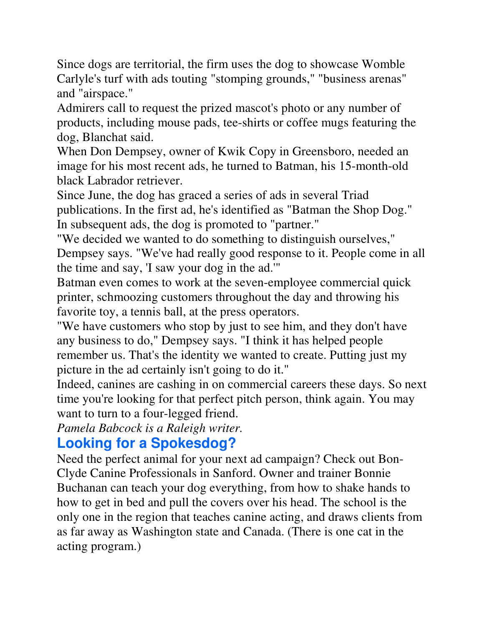Since dogs are territorial, the firm uses the dog to showcase Womble Carlyle's turf with ads touting "stomping grounds," "business arenas" and "airspace."

Admirers call to request the prized mascot's photo or any number of products, including mouse pads, tee-shirts or coffee mugs featuring the dog, Blanchat said.

When Don Dempsey, owner of Kwik Copy in Greensboro, needed an image for his most recent ads, he turned to Batman, his 15-month-old black Labrador retriever.

Since June, the dog has graced a series of ads in several Triad publications. In the first ad, he's identified as "Batman the Shop Dog." In subsequent ads, the dog is promoted to "partner."

"We decided we wanted to do something to distinguish ourselves," Dempsey says. "We've had really good response to it. People come in all the time and say, 'I saw your dog in the ad.'"

Batman even comes to work at the seven-employee commercial quick printer, schmoozing customers throughout the day and throwing his favorite toy, a tennis ball, at the press operators.

"We have customers who stop by just to see him, and they don't have any business to do," Dempsey says. "I think it has helped people remember us. That's the identity we wanted to create. Putting just my picture in the ad certainly isn't going to do it."

Indeed, canines are cashing in on commercial careers these days. So next time you're looking for that perfect pitch person, think again. You may want to turn to a four-legged friend.

*Pamela Babcock is a Raleigh writer.*

## **Looking for a Spokesdog?**

Need the perfect animal for your next ad campaign? Check out Bon-Clyde Canine Professionals in Sanford. Owner and trainer Bonnie Buchanan can teach your dog everything, from how to shake hands to how to get in bed and pull the covers over his head. The school is the only one in the region that teaches canine acting, and draws clients from as far away as Washington state and Canada. (There is one cat in the acting program.)